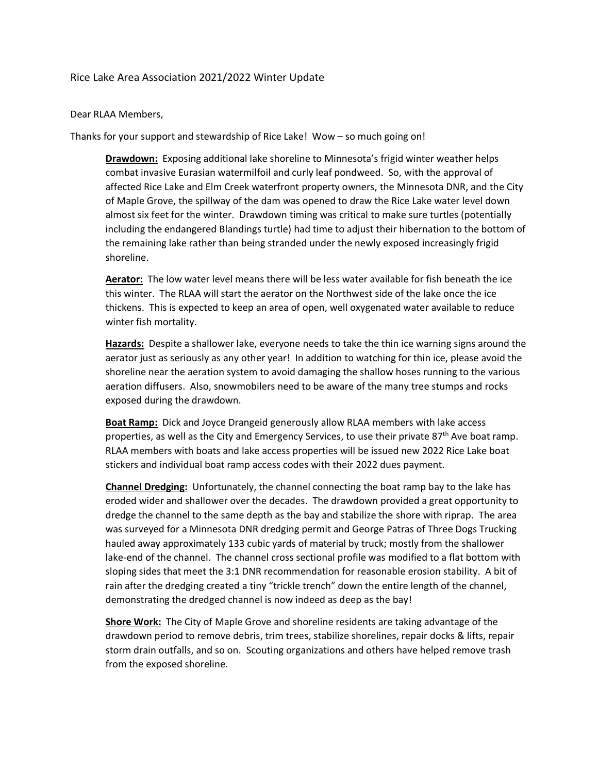## Rice Lake Area Association 2021/2022 Winter Update

Dear RLAA Members,

Thanks for your support and stewardship of Rice Lake! Wow – so much going on!

**Drawdown:** Exposing additional lake shoreline to Minnesota's frigid winter weather helps combat invasive Eurasian watermilfoil and curly leaf pondweed. So, with the approval of affected Rice Lake and Elm Creek waterfront property owners, the Minnesota DNR, and the City of Maple Grove, the spillway of the dam was opened to draw the Rice Lake water level down almost six feet for the winter. Drawdown timing was critical to make sure turtles (potentially including the endangered Blandings turtle) had time to adjust their hibernation to the bottom of the remaining lake rather than being stranded under the newly exposed increasingly frigid shoreline.

**Aerator:** The low water level means there will be less water available for fish beneath the ice this winter. The RLAA will start the aerator on the Northwest side of the lake once the ice thickens. This is expected to keep an area of open, well oxygenated water available to reduce winter fish mortality.

**Hazards:** Despite a shallower lake, everyone needs to take the thin ice warning signs around the aerator just as seriously as any other year! In addition to watching for thin ice, please avoid the shoreline near the aeration system to avoid damaging the shallow hoses running to the various aeration diffusers. Also, snowmobilers need to be aware of the many tree stumps and rocks exposed during the drawdown.

**Boat Ramp:** Dick and Joyce Drangeid generously allow RLAA members with lake access properties, as well as the City and Emergency Services, to use their private  $87<sup>th</sup>$  Ave boat ramp. RLAA members with boats and lake access properties will be issued new 2022 Rice Lake boat stickers and individual boat ramp access codes with their 2022 dues payment.

**Channel Dredging:** Unfortunately, the channel connecting the boat ramp bay to the lake has eroded wider and shallower over the decades. The drawdown provided a great opportunity to dredge the channel to the same depth as the bay and stabilize the shore with riprap. The area was surveyed for a Minnesota DNR dredging permit and George Patras of Three Dogs Trucking hauled away approximately 133 cubic yards of material by truck; mostly from the shallower lake-end of the channel. The channel cross sectional profile was modified to a flat bottom with sloping sides that meet the 3:1 DNR recommendation for reasonable erosion stability. A bit of rain after the dredging created a tiny "trickle trench" down the entire length of the channel, demonstrating the dredged channel is now indeed as deep as the bay!

**Shore Work:** The City of Maple Grove and shoreline residents are taking advantage of the drawdown period to remove debris, trim trees, stabilize shorelines, repair docks & lifts, repair storm drain outfalls, and so on. Scouting organizations and others have helped remove trash from the exposed shoreline.